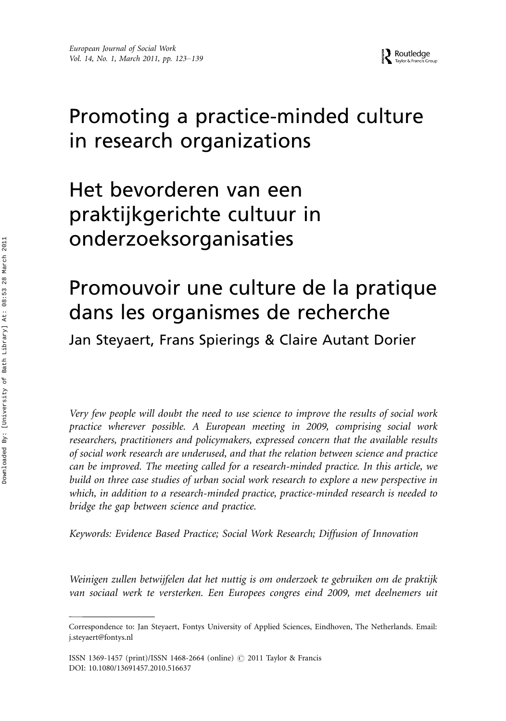# Promoting a practice-minded culture in research organizations

# Het bevorderen van een praktijkgerichte cultuur in onderzoeksorganisaties

# Promouvoir une culture de la pratique dans les organismes de recherche

# Jan Steyaert, Frans Spierings & Claire Autant Dorier

Very few people will doubt the need to use science to improve the results of social work practice wherever possible. A European meeting in 2009, comprising social work researchers, practitioners and policymakers, expressed concern that the available results of social work research are underused, and that the relation between science and practice can be improved. The meeting called for a research-minded practice. In this article, we build on three case studies of urban social work research to explore a new perspective in which, in addition to a research-minded practice, practice-minded research is needed to bridge the gap between science and practice.

Keywords: Evidence Based Practice; Social Work Research; Diffusion of Innovation

Weinigen zullen betwijfelen dat het nuttig is om onderzoek te gebruiken om de praktijk van sociaal werk te versterken. Een Europees congres eind 2009, met deelnemers uit

Correspondence to: Jan Steyaert, Fontys University of Applied Sciences, Eindhoven, The Netherlands. Email: j.steyaert@fontys.nl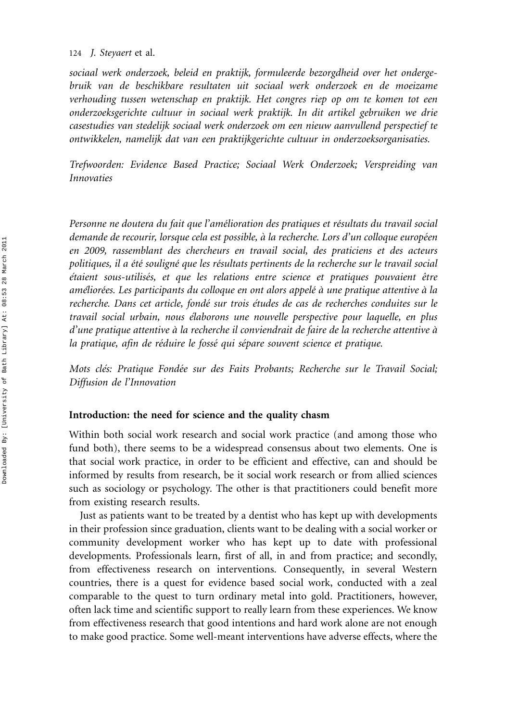## 124 J. Steyaert et al.

sociaal werk onderzoek, beleid en praktijk, formuleerde bezorgdheid over het ondergebruik van de beschikbare resultaten uit sociaal werk onderzoek en de moeizame verhouding tussen wetenschap en praktijk. Het congres riep op om te komen tot een onderzoeksgerichte cultuur in sociaal werk praktijk. In dit artikel gebruiken we drie casestudies van stedelijk sociaal werk onderzoek om een nieuw aanvullend perspectief te ontwikkelen, namelijk dat van een praktijkgerichte cultuur in onderzoeksorganisaties.

Trefwoorden: Evidence Based Practice; Sociaal Werk Onderzoek; Verspreiding van Innovaties

Personne ne doutera du fait que l'amélioration des pratiques et résultats du travail social demande de recourir, lorsque cela est possible, à la recherche. Lors d'un colloque européen en 2009, rassemblant des chercheurs en travail social, des praticiens et des acteurs politiques, il a été souligné que les résultats pertinents de la recherche sur le travail social étaient sous-utilisés, et que les relations entre science et pratiques pouvaient être améliorées. Les participants du colloque en ont alors appelé à une pratique attentive à la recherche. Dans cet article, fondé sur trois études de cas de recherches conduites sur le travail social urbain, nous élaborons une nouvelle perspective pour laquelle, en plus d'une pratique attentive à la recherche il conviendrait de faire de la recherche attentive à la pratique, afin de réduire le fossé qui sépare souvent science et pratique.

Mots clés: Pratique Fondée sur des Faits Probants; Recherche sur le Travail Social; Diffusion de l'Innovation

# Introduction: the need for science and the quality chasm

Within both social work research and social work practice (and among those who fund both), there seems to be a widespread consensus about two elements. One is that social work practice, in order to be efficient and effective, can and should be informed by results from research, be it social work research or from allied sciences such as sociology or psychology. The other is that practitioners could benefit more from existing research results.

Just as patients want to be treated by a dentist who has kept up with developments in their profession since graduation, clients want to be dealing with a social worker or community development worker who has kept up to date with professional developments. Professionals learn, first of all, in and from practice; and secondly, from effectiveness research on interventions. Consequently, in several Western countries, there is a quest for evidence based social work, conducted with a zeal comparable to the quest to turn ordinary metal into gold. Practitioners, however, often lack time and scientific support to really learn from these experiences. We know from effectiveness research that good intentions and hard work alone are not enough to make good practice. Some well-meant interventions have adverse effects, where the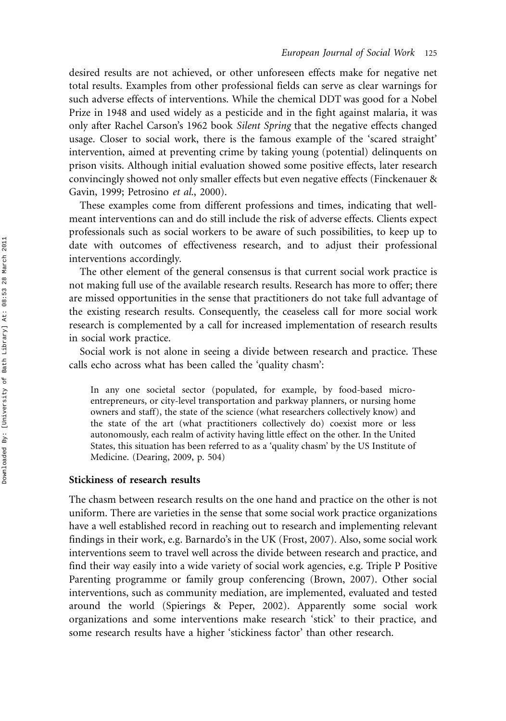desired results are not achieved, or other unforeseen effects make for negative net total results. Examples from other professional fields can serve as clear warnings for such adverse effects of interventions. While the chemical DDT was good for a Nobel Prize in 1948 and used widely as a pesticide and in the fight against malaria, it was only after Rachel Carson's 1962 book Silent Spring that the negative effects changed usage. Closer to social work, there is the famous example of the 'scared straight' intervention, aimed at preventing crime by taking young (potential) delinquents on prison visits. Although initial evaluation showed some positive effects, later research convincingly showed not only smaller effects but even negative effects (Finckenauer & Gavin, 1999; Petrosino et al., 2000).

These examples come from different professions and times, indicating that wellmeant interventions can and do still include the risk of adverse effects. Clients expect professionals such as social workers to be aware of such possibilities, to keep up to date with outcomes of effectiveness research, and to adjust their professional interventions accordingly.

The other element of the general consensus is that current social work practice is not making full use of the available research results. Research has more to offer; there are missed opportunities in the sense that practitioners do not take full advantage of the existing research results. Consequently, the ceaseless call for more social work research is complemented by a call for increased implementation of research results in social work practice.

Social work is not alone in seeing a divide between research and practice. These calls echo across what has been called the 'quality chasm':

In any one societal sector (populated, for example, by food-based microentrepreneurs, or city-level transportation and parkway planners, or nursing home owners and staff), the state of the science (what researchers collectively know) and the state of the art (what practitioners collectively do) coexist more or less autonomously, each realm of activity having little effect on the other. In the United States, this situation has been referred to as a 'quality chasm' by the US Institute of Medicine. (Dearing, 2009, p. 504)

## Stickiness of research results

The chasm between research results on the one hand and practice on the other is not uniform. There are varieties in the sense that some social work practice organizations have a well established record in reaching out to research and implementing relevant findings in their work, e.g. Barnardo's in the UK (Frost, 2007). Also, some social work interventions seem to travel well across the divide between research and practice, and find their way easily into a wide variety of social work agencies, e.g. Triple P Positive Parenting programme or family group conferencing (Brown, 2007). Other social interventions, such as community mediation, are implemented, evaluated and tested around the world (Spierings & Peper, 2002). Apparently some social work organizations and some interventions make research 'stick' to their practice, and some research results have a higher 'stickiness factor' than other research.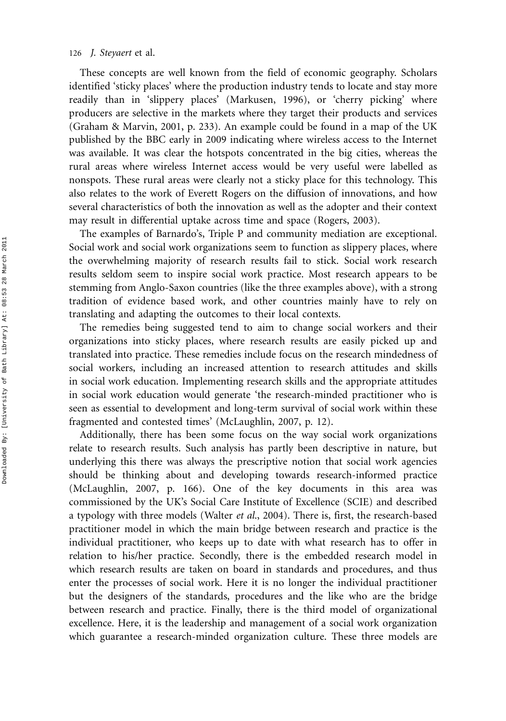These concepts are well known from the field of economic geography. Scholars identified 'sticky places' where the production industry tends to locate and stay more readily than in 'slippery places' (Markusen, 1996), or 'cherry picking' where producers are selective in the markets where they target their products and services (Graham & Marvin, 2001, p. 233). An example could be found in a map of the UK published by the BBC early in 2009 indicating where wireless access to the Internet was available. It was clear the hotspots concentrated in the big cities, whereas the rural areas where wireless Internet access would be very useful were labelled as nonspots. These rural areas were clearly not a sticky place for this technology. This also relates to the work of Everett Rogers on the diffusion of innovations, and how several characteristics of both the innovation as well as the adopter and their context may result in differential uptake across time and space (Rogers, 2003).

The examples of Barnardo's, Triple P and community mediation are exceptional. Social work and social work organizations seem to function as slippery places, where the overwhelming majority of research results fail to stick. Social work research results seldom seem to inspire social work practice. Most research appears to be stemming from Anglo-Saxon countries (like the three examples above), with a strong tradition of evidence based work, and other countries mainly have to rely on translating and adapting the outcomes to their local contexts.

The remedies being suggested tend to aim to change social workers and their organizations into sticky places, where research results are easily picked up and translated into practice. These remedies include focus on the research mindedness of social workers, including an increased attention to research attitudes and skills in social work education. Implementing research skills and the appropriate attitudes in social work education would generate 'the research-minded practitioner who is seen as essential to development and long-term survival of social work within these fragmented and contested times' (McLaughlin, 2007, p. 12).

Additionally, there has been some focus on the way social work organizations relate to research results. Such analysis has partly been descriptive in nature, but underlying this there was always the prescriptive notion that social work agencies should be thinking about and developing towards research-informed practice (McLaughlin, 2007, p. 166). One of the key documents in this area was commissioned by the UK's Social Care Institute of Excellence (SCIE) and described a typology with three models (Walter et al., 2004). There is, first, the research-based practitioner model in which the main bridge between research and practice is the individual practitioner, who keeps up to date with what research has to offer in relation to his/her practice. Secondly, there is the embedded research model in which research results are taken on board in standards and procedures, and thus enter the processes of social work. Here it is no longer the individual practitioner but the designers of the standards, procedures and the like who are the bridge between research and practice. Finally, there is the third model of organizational excellence. Here, it is the leadership and management of a social work organization which guarantee a research-minded organization culture. These three models are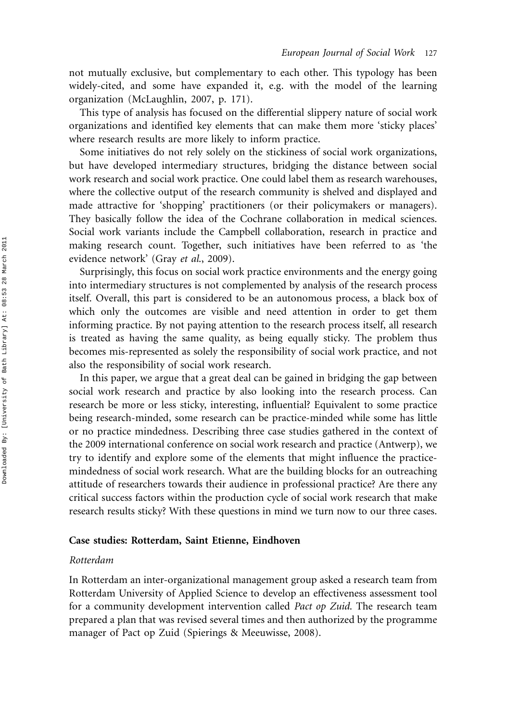not mutually exclusive, but complementary to each other. This typology has been widely-cited, and some have expanded it, e.g. with the model of the learning organization (McLaughlin, 2007, p. 171).

This type of analysis has focused on the differential slippery nature of social work organizations and identified key elements that can make them more 'sticky places' where research results are more likely to inform practice.

Some initiatives do not rely solely on the stickiness of social work organizations, but have developed intermediary structures, bridging the distance between social work research and social work practice. One could label them as research warehouses, where the collective output of the research community is shelved and displayed and made attractive for 'shopping' practitioners (or their policymakers or managers). They basically follow the idea of the Cochrane collaboration in medical sciences. Social work variants include the Campbell collaboration, research in practice and making research count. Together, such initiatives have been referred to as 'the evidence network' (Gray et al., 2009).

Surprisingly, this focus on social work practice environments and the energy going into intermediary structures is not complemented by analysis of the research process itself. Overall, this part is considered to be an autonomous process, a black box of which only the outcomes are visible and need attention in order to get them informing practice. By not paying attention to the research process itself, all research is treated as having the same quality, as being equally sticky. The problem thus becomes mis-represented as solely the responsibility of social work practice, and not also the responsibility of social work research.

In this paper, we argue that a great deal can be gained in bridging the gap between social work research and practice by also looking into the research process. Can research be more or less sticky, interesting, influential? Equivalent to some practice being research-minded, some research can be practice-minded while some has little or no practice mindedness. Describing three case studies gathered in the context of the 2009 international conference on social work research and practice (Antwerp), we try to identify and explore some of the elements that might influence the practicemindedness of social work research. What are the building blocks for an outreaching attitude of researchers towards their audience in professional practice? Are there any critical success factors within the production cycle of social work research that make research results sticky? With these questions in mind we turn now to our three cases.

# Case studies: Rotterdam, Saint Etienne, Eindhoven

## Rotterdam

In Rotterdam an inter-organizational management group asked a research team from Rotterdam University of Applied Science to develop an effectiveness assessment tool for a community development intervention called Pact op Zuid. The research team prepared a plan that was revised several times and then authorized by the programme manager of Pact op Zuid (Spierings & Meeuwisse, 2008).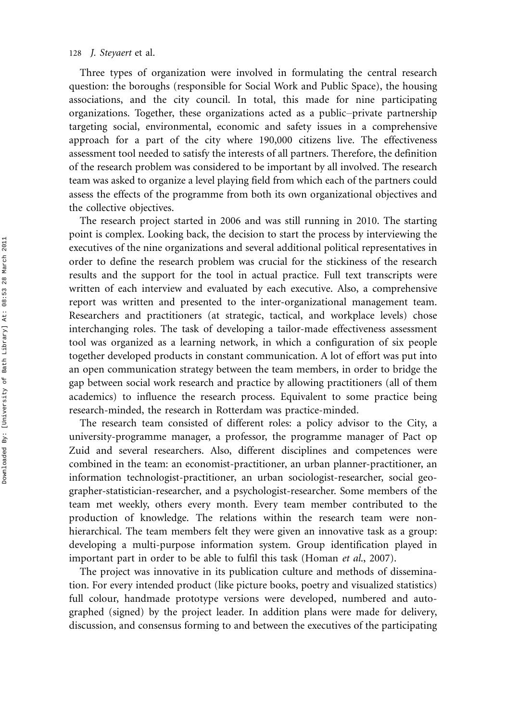Three types of organization were involved in formulating the central research question: the boroughs (responsible for Social Work and Public Space), the housing associations, and the city council. In total, this made for nine participating organizations. Together, these organizations acted as a public-private partnership targeting social, environmental, economic and safety issues in a comprehensive approach for a part of the city where 190,000 citizens live. The effectiveness assessment tool needed to satisfy the interests of all partners. Therefore, the definition of the research problem was considered to be important by all involved. The research team was asked to organize a level playing field from which each of the partners could assess the effects of the programme from both its own organizational objectives and the collective objectives.

The research project started in 2006 and was still running in 2010. The starting point is complex. Looking back, the decision to start the process by interviewing the executives of the nine organizations and several additional political representatives in order to define the research problem was crucial for the stickiness of the research results and the support for the tool in actual practice. Full text transcripts were written of each interview and evaluated by each executive. Also, a comprehensive report was written and presented to the inter-organizational management team. Researchers and practitioners (at strategic, tactical, and workplace levels) chose interchanging roles. The task of developing a tailor-made effectiveness assessment tool was organized as a learning network, in which a configuration of six people together developed products in constant communication. A lot of effort was put into an open communication strategy between the team members, in order to bridge the gap between social work research and practice by allowing practitioners (all of them academics) to influence the research process. Equivalent to some practice being research-minded, the research in Rotterdam was practice-minded.

The research team consisted of different roles: a policy advisor to the City, a university-programme manager, a professor, the programme manager of Pact op Zuid and several researchers. Also, different disciplines and competences were combined in the team: an economist-practitioner, an urban planner-practitioner, an information technologist-practitioner, an urban sociologist-researcher, social geographer-statistician-researcher, and a psychologist-researcher. Some members of the team met weekly, others every month. Every team member contributed to the production of knowledge. The relations within the research team were nonhierarchical. The team members felt they were given an innovative task as a group: developing a multi-purpose information system. Group identification played in important part in order to be able to fulfil this task (Homan et al., 2007).

The project was innovative in its publication culture and methods of dissemination. For every intended product (like picture books, poetry and visualized statistics) full colour, handmade prototype versions were developed, numbered and autographed (signed) by the project leader. In addition plans were made for delivery, discussion, and consensus forming to and between the executives of the participating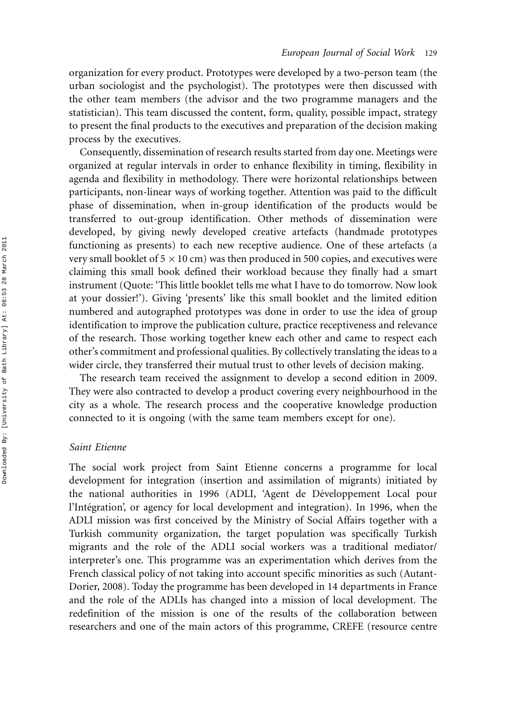organization for every product. Prototypes were developed by a two-person team (the urban sociologist and the psychologist). The prototypes were then discussed with the other team members (the advisor and the two programme managers and the statistician). This team discussed the content, form, quality, possible impact, strategy to present the final products to the executives and preparation of the decision making process by the executives.

Consequently, dissemination of research results started from day one. Meetings were organized at regular intervals in order to enhance flexibility in timing, flexibility in agenda and flexibility in methodology. There were horizontal relationships between participants, non-linear ways of working together. Attention was paid to the difficult phase of dissemination, when in-group identification of the products would be transferred to out-group identification. Other methods of dissemination were developed, by giving newly developed creative artefacts (handmade prototypes functioning as presents) to each new receptive audience. One of these artefacts (a very small booklet of 5  $\times$  10 cm) was then produced in 500 copies, and executives were claiming this small book defined their workload because they finally had a smart instrument (Quote: 'This little booklet tells me what I have to do tomorrow. Now look at your dossier!'). Giving 'presents' like this small booklet and the limited edition numbered and autographed prototypes was done in order to use the idea of group identification to improve the publication culture, practice receptiveness and relevance of the research. Those working together knew each other and came to respect each other's commitment and professional qualities. By collectively translating the ideas to a wider circle, they transferred their mutual trust to other levels of decision making.

The research team received the assignment to develop a second edition in 2009. They were also contracted to develop a product covering every neighbourhood in the city as a whole. The research process and the cooperative knowledge production connected to it is ongoing (with the same team members except for one).

# Saint Etienne

The social work project from Saint Etienne concerns a programme for local development for integration (insertion and assimilation of migrants) initiated by the national authorities in 1996 (ADLI, 'Agent de Développement Local pour l'Intégration', or agency for local development and integration). In 1996, when the ADLI mission was first conceived by the Ministry of Social Affairs together with a Turkish community organization, the target population was specifically Turkish migrants and the role of the ADLI social workers was a traditional mediator/ interpreter's one. This programme was an experimentation which derives from the French classical policy of not taking into account specific minorities as such (Autant-Dorier, 2008). Today the programme has been developed in 14 departments in France and the role of the ADLIs has changed into a mission of local development. The redefinition of the mission is one of the results of the collaboration between researchers and one of the main actors of this programme, CREFE (resource centre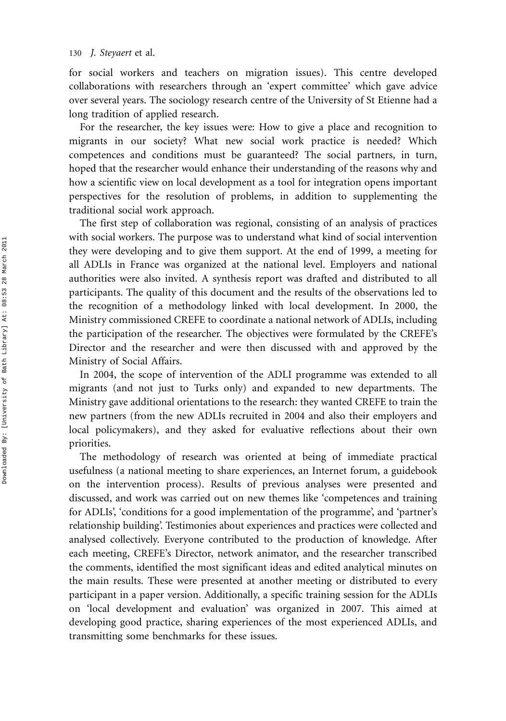for social workers and teachers on migration issues). This centre developed collaborations with researchers through an 'expert committee' which gave advice over several years. The sociology research centre of the University of St Etienne had a long tradition of applied research.

For the researcher, the key issues were: How to give a place and recognition to migrants in our society? What new social work practice is needed? Which competences and conditions must be guaranteed? The social partners, in turn, hoped that the researcher would enhance their understanding of the reasons why and how a scientific view on local development as a tool for integration opens important perspectives for the resolution of problems, in addition to supplementing the traditional social work approach.

The first step of collaboration was regional, consisting of an analysis of practices with social workers. The purpose was to understand what kind of social intervention they were developing and to give them support. At the end of 1999, a meeting for all ADLIs in France was organized at the national level. Employers and national authorities were also invited. A synthesis report was drafted and distributed to all participants. The quality of this document and the results of the observations led to the recognition of a methodology linked with local development. In 2000, the Ministry commissioned CREFE to coordinate a national network of ADLIs, including the participation of the researcher. The objectives were formulated by the CREFE's Director and the researcher and were then discussed with and approved by the Ministry of Social Affairs.

In 2004, the scope of intervention of the ADLI programme was extended to all migrants (and not just to Turks only) and expanded to new departments. The Ministry gave additional orientations to the research: they wanted CREFE to train the new partners (from the new ADLIs recruited in 2004 and also their employers and local policymakers), and they asked for evaluative reflections about their own priorities.

The methodology of research was oriented at being of immediate practical usefulness (a national meeting to share experiences, an Internet forum, a guidebook on the intervention process). Results of previous analyses were presented and discussed, and work was carried out on new themes like 'competences and training for ADLIs', 'conditions for a good implementation of the programme', and 'partner's relationship building'. Testimonies about experiences and practices were collected and analysed collectively. Everyone contributed to the production of knowledge. After each meeting, CREFE's Director, network animator, and the researcher transcribed the comments, identified the most significant ideas and edited analytical minutes on the main results. These were presented at another meeting or distributed to every participant in a paper version. Additionally, a specific training session for the ADLIs on 'local development and evaluation' was organized in 2007. This aimed at developing good practice, sharing experiences of the most experienced ADLIs, and transmitting some benchmarks for these issues.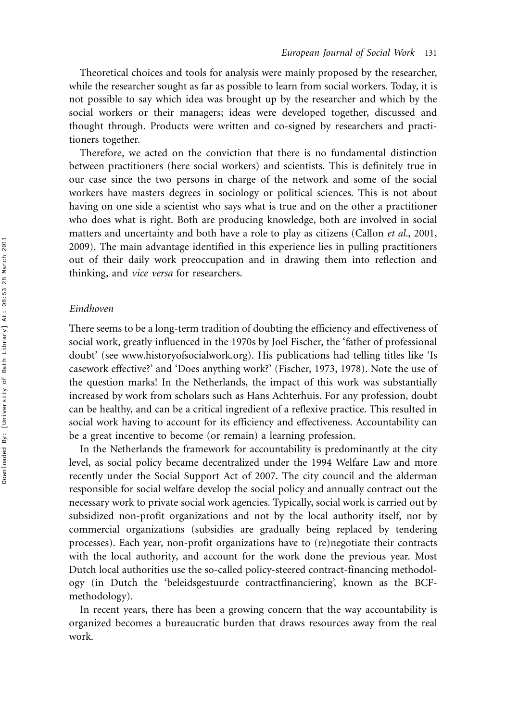Theoretical choices and tools for analysis were mainly proposed by the researcher, while the researcher sought as far as possible to learn from social workers. Today, it is not possible to say which idea was brought up by the researcher and which by the social workers or their managers; ideas were developed together, discussed and thought through. Products were written and co-signed by researchers and practitioners together.

Therefore, we acted on the conviction that there is no fundamental distinction between practitioners (here social workers) and scientists. This is definitely true in our case since the two persons in charge of the network and some of the social workers have masters degrees in sociology or political sciences. This is not about having on one side a scientist who says what is true and on the other a practitioner who does what is right. Both are producing knowledge, both are involved in social matters and uncertainty and both have a role to play as citizens (Callon *et al.*, 2001, 2009). The main advantage identified in this experience lies in pulling practitioners out of their daily work preoccupation and in drawing them into reflection and thinking, and vice versa for researchers.

#### Eindhoven

There seems to be a long-term tradition of doubting the efficiency and effectiveness of social work, greatly influenced in the 1970s by Joel Fischer, the 'father of professional doubt' (see [www.historyofsocialwork.org](http//:www.historyofsocialwork.org)). His publications had telling titles like 'Is casework effective?' and 'Does anything work?' (Fischer, 1973, 1978). Note the use of the question marks! In the Netherlands, the impact of this work was substantially increased by work from scholars such as Hans Achterhuis. For any profession, doubt can be healthy, and can be a critical ingredient of a reflexive practice. This resulted in social work having to account for its efficiency and effectiveness. Accountability can be a great incentive to become (or remain) a learning profession.

In the Netherlands the framework for accountability is predominantly at the city level, as social policy became decentralized under the 1994 Welfare Law and more recently under the Social Support Act of 2007. The city council and the alderman responsible for social welfare develop the social policy and annually contract out the necessary work to private social work agencies. Typically, social work is carried out by subsidized non-profit organizations and not by the local authority itself, nor by commercial organizations (subsidies are gradually being replaced by tendering processes). Each year, non-profit organizations have to (re)negotiate their contracts with the local authority, and account for the work done the previous year. Most Dutch local authorities use the so-called policy-steered contract-financing methodology (in Dutch the 'beleidsgestuurde contractfinanciering', known as the BCFmethodology).

In recent years, there has been a growing concern that the way accountability is organized becomes a bureaucratic burden that draws resources away from the real work.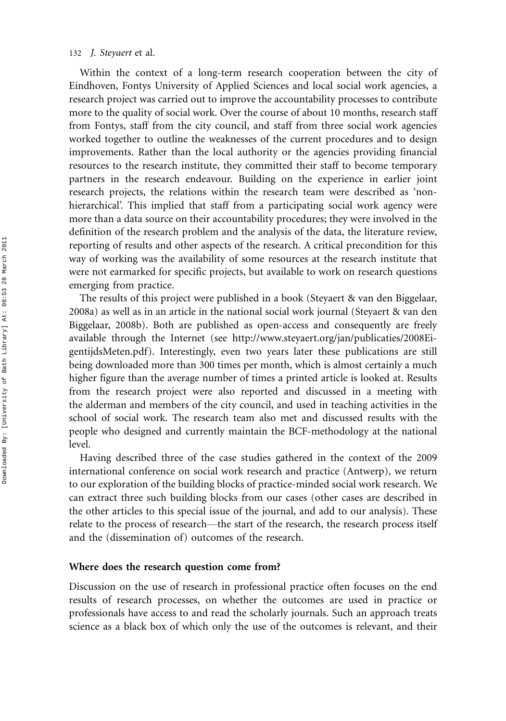Within the context of a long-term research cooperation between the city of Eindhoven, Fontys University of Applied Sciences and local social work agencies, a research project was carried out to improve the accountability processes to contribute more to the quality of social work. Over the course of about 10 months, research staff from Fontys, staff from the city council, and staff from three social work agencies worked together to outline the weaknesses of the current procedures and to design improvements. Rather than the local authority or the agencies providing financial resources to the research institute, they committed their staff to become temporary partners in the research endeavour. Building on the experience in earlier joint research projects, the relations within the research team were described as 'nonhierarchical'. This implied that staff from a participating social work agency were more than a data source on their accountability procedures; they were involved in the definition of the research problem and the analysis of the data, the literature review, reporting of results and other aspects of the research. A critical precondition for this way of working was the availability of some resources at the research institute that were not earmarked for specific projects, but available to work on research questions emerging from practice.

The results of this project were published in a book (Steyaert & van den Biggelaar, 2008a) as well as in an article in the national social work journal (Steyaert & van den Biggelaar, 2008b). Both are published as open-access and consequently are freely available through the Internet (see [http://www.steyaert.org/jan/publicaties/2008Ei](http://www.steyaert.org/jan/publicaties/2008EigentijdsMeten.pdf)[gentijdsMeten.pdf](http://www.steyaert.org/jan/publicaties/2008EigentijdsMeten.pdf)). Interestingly, even two years later these publications are still being downloaded more than 300 times per month, which is almost certainly a much higher figure than the average number of times a printed article is looked at. Results from the research project were also reported and discussed in a meeting with the alderman and members of the city council, and used in teaching activities in the school of social work. The research team also met and discussed results with the people who designed and currently maintain the BCF-methodology at the national level.

Having described three of the case studies gathered in the context of the 2009 international conference on social work research and practice (Antwerp), we return to our exploration of the building blocks of practice-minded social work research. We can extract three such building blocks from our cases (other cases are described in the other articles to this special issue of the journal, and add to our analysis). These relate to the process of research—the start of the research, the research process itself and the (dissemination of) outcomes of the research.

# Where does the research question come from?

Discussion on the use of research in professional practice often focuses on the end results of research processes, on whether the outcomes are used in practice or professionals have access to and read the scholarly journals. Such an approach treats science as a black box of which only the use of the outcomes is relevant, and their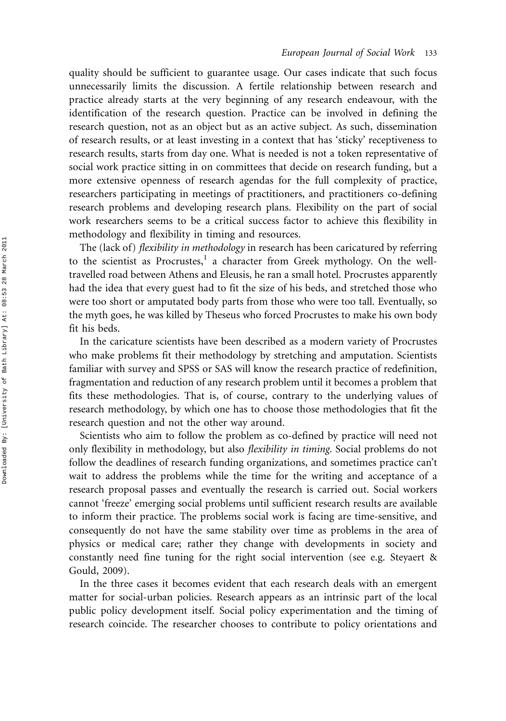quality should be sufficient to guarantee usage. Our cases indicate that such focus unnecessarily limits the discussion. A fertile relationship between research and practice already starts at the very beginning of any research endeavour, with the identification of the research question. Practice can be involved in defining the research question, not as an object but as an active subject. As such, dissemination of research results, or at least investing in a context that has 'sticky' receptiveness to research results, starts from day one. What is needed is not a token representative of social work practice sitting in on committees that decide on research funding, but a more extensive openness of research agendas for the full complexity of practice, researchers participating in meetings of practitioners, and practitioners co-defining research problems and developing research plans. Flexibility on the part of social work researchers seems to be a critical success factor to achieve this flexibility in methodology and flexibility in timing and resources.

The (lack of) *flexibility in methodology* in research has been caricatured by referring to the scientist as Procrustes,<sup>1</sup> a character from Greek mythology. On the welltravelled road between Athens and Eleusis, he ran a small hotel. Procrustes apparently had the idea that every guest had to fit the size of his beds, and stretched those who were too short or amputated body parts from those who were too tall. Eventually, so the myth goes, he was killed by Theseus who forced Procrustes to make his own body fit his beds.

In the caricature scientists have been described as a modern variety of Procrustes who make problems fit their methodology by stretching and amputation. Scientists familiar with survey and SPSS or SAS will know the research practice of redefinition, fragmentation and reduction of any research problem until it becomes a problem that fits these methodologies. That is, of course, contrary to the underlying values of research methodology, by which one has to choose those methodologies that fit the research question and not the other way around.

Scientists who aim to follow the problem as co-defined by practice will need not only flexibility in methodology, but also flexibility in timing. Social problems do not follow the deadlines of research funding organizations, and sometimes practice can't wait to address the problems while the time for the writing and acceptance of a research proposal passes and eventually the research is carried out. Social workers cannot 'freeze' emerging social problems until sufficient research results are available to inform their practice. The problems social work is facing are time-sensitive, and consequently do not have the same stability over time as problems in the area of physics or medical care; rather they change with developments in society and constantly need fine tuning for the right social intervention (see e.g. Steyaert & Gould, 2009).

In the three cases it becomes evident that each research deals with an emergent matter for social-urban policies. Research appears as an intrinsic part of the local public policy development itself. Social policy experimentation and the timing of research coincide. The researcher chooses to contribute to policy orientations and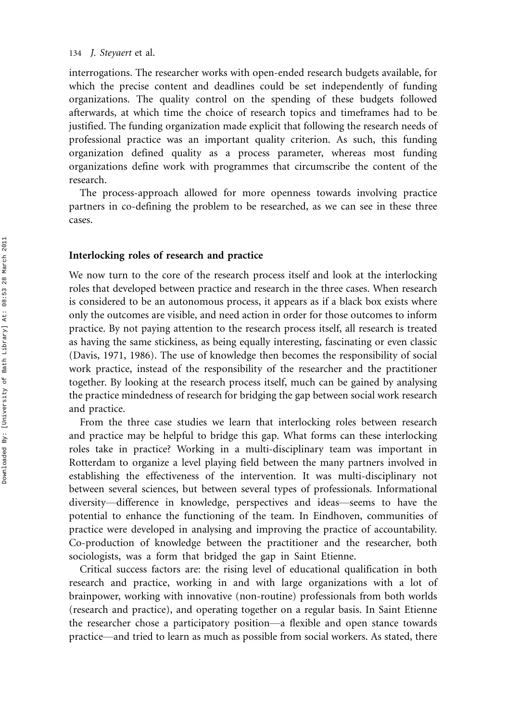interrogations. The researcher works with open-ended research budgets available, for which the precise content and deadlines could be set independently of funding organizations. The quality control on the spending of these budgets followed afterwards, at which time the choice of research topics and timeframes had to be justified. The funding organization made explicit that following the research needs of professional practice was an important quality criterion. As such, this funding organization defined quality as a process parameter, whereas most funding organizations define work with programmes that circumscribe the content of the research.

The process-approach allowed for more openness towards involving practice partners in co-defining the problem to be researched, as we can see in these three cases.

## Interlocking roles of research and practice

We now turn to the core of the research process itself and look at the interlocking roles that developed between practice and research in the three cases. When research is considered to be an autonomous process, it appears as if a black box exists where only the outcomes are visible, and need action in order for those outcomes to inform practice. By not paying attention to the research process itself, all research is treated as having the same stickiness, as being equally interesting, fascinating or even classic (Davis, 1971, 1986). The use of knowledge then becomes the responsibility of social work practice, instead of the responsibility of the researcher and the practitioner together. By looking at the research process itself, much can be gained by analysing the practice mindedness of research for bridging the gap between social work research and practice.

From the three case studies we learn that interlocking roles between research and practice may be helpful to bridge this gap. What forms can these interlocking roles take in practice? Working in a multi-disciplinary team was important in Rotterdam to organize a level playing field between the many partners involved in establishing the effectiveness of the intervention. It was multi-disciplinary not between several sciences, but between several types of professionals. Informational diversity-difference in knowledge, perspectives and ideas-seems to have the potential to enhance the functioning of the team. In Eindhoven, communities of practice were developed in analysing and improving the practice of accountability. Co-production of knowledge between the practitioner and the researcher, both sociologists, was a form that bridged the gap in Saint Etienne.

Critical success factors are: the rising level of educational qualification in both research and practice, working in and with large organizations with a lot of brainpower, working with innovative (non-routine) professionals from both worlds (research and practice), and operating together on a regular basis. In Saint Etienne the researcher chose a participatory position-a flexible and open stance towards practice—and tried to learn as much as possible from social workers. As stated, there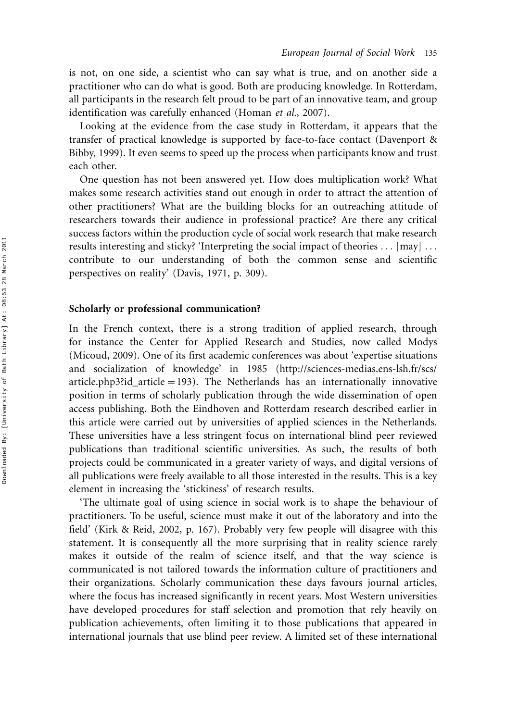is not, on one side, a scientist who can say what is true, and on another side a practitioner who can do what is good. Both are producing knowledge. In Rotterdam, all participants in the research felt proud to be part of an innovative team, and group identification was carefully enhanced (Homan et al., 2007).

Looking at the evidence from the case study in Rotterdam, it appears that the transfer of practical knowledge is supported by face-to-face contact (Davenport & Bibby, 1999). It even seems to speed up the process when participants know and trust each other.

One question has not been answered yet. How does multiplication work? What makes some research activities stand out enough in order to attract the attention of other practitioners? What are the building blocks for an outreaching attitude of researchers towards their audience in professional practice? Are there any critical success factors within the production cycle of social work research that make research results interesting and sticky? 'Interpreting the social impact of theories ... [may] ... contribute to our understanding of both the common sense and scientific perspectives on reality' (Davis, 1971, p. 309).

# Scholarly or professional communication?

In the French context, there is a strong tradition of applied research, through for instance the Center for Applied Research and Studies, now called Modys (Micoud, 2009). One of its first academic conferences was about 'expertise situations and socialization of knowledge' in 1985 [\(http://sciences-medias.ens-lsh.fr/scs/](http://sciences-medias.ens-lsh.fr/scs/article.php3?id_article=193) [article.php3?id\\_article](http://sciences-medias.ens-lsh.fr/scs/article.php3?id_article=193) = [193](http://sciences-medias.ens-lsh.fr/scs/article.php3?id_article=193)). The Netherlands has an internationally innovative position in terms of scholarly publication through the wide dissemination of open access publishing. Both the Eindhoven and Rotterdam research described earlier in this article were carried out by universities of applied sciences in the Netherlands. These universities have a less stringent focus on international blind peer reviewed publications than traditional scientific universities. As such, the results of both projects could be communicated in a greater variety of ways, and digital versions of all publications were freely available to all those interested in the results. This is a key element in increasing the 'stickiness' of research results.

'The ultimate goal of using science in social work is to shape the behaviour of practitioners. To be useful, science must make it out of the laboratory and into the field' (Kirk & Reid, 2002, p. 167). Probably very few people will disagree with this statement. It is consequently all the more surprising that in reality science rarely makes it outside of the realm of science itself, and that the way science is communicated is not tailored towards the information culture of practitioners and their organizations. Scholarly communication these days favours journal articles, where the focus has increased significantly in recent years. Most Western universities have developed procedures for staff selection and promotion that rely heavily on publication achievements, often limiting it to those publications that appeared in international journals that use blind peer review. A limited set of these international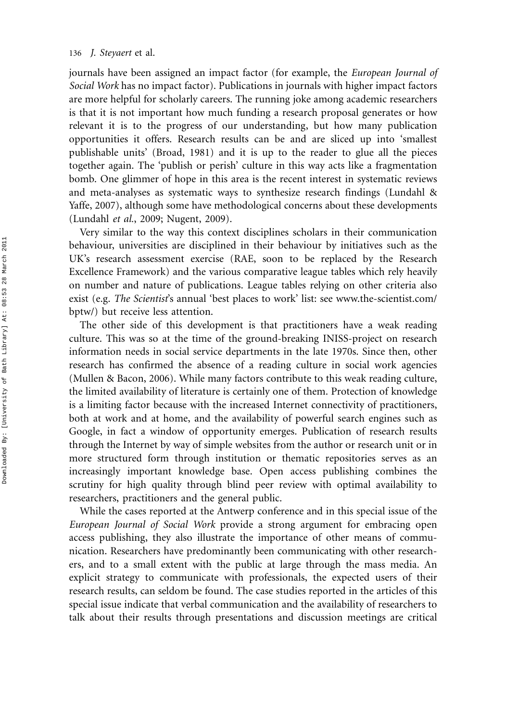journals have been assigned an impact factor (for example, the European Journal of Social Work has no impact factor). Publications in journals with higher impact factors are more helpful for scholarly careers. The running joke among academic researchers is that it is not important how much funding a research proposal generates or how relevant it is to the progress of our understanding, but how many publication opportunities it offers. Research results can be and are sliced up into 'smallest publishable units' (Broad, 1981) and it is up to the reader to glue all the pieces together again. The 'publish or perish' culture in this way acts like a fragmentation bomb. One glimmer of hope in this area is the recent interest in systematic reviews and meta-analyses as systematic ways to synthesize research findings (Lundahl & Yaffe, 2007), although some have methodological concerns about these developments (Lundahl et al., 2009; Nugent, 2009).

Very similar to the way this context disciplines scholars in their communication behaviour, universities are disciplined in their behaviour by initiatives such as the UK's research assessment exercise (RAE, soon to be replaced by the Research Excellence Framework) and the various comparative league tables which rely heavily on number and nature of publications. League tables relying on other criteria also exist (e.g. The Scientist's annual 'best places to work' list: see [www.the-scientist.com/](http://www.the-scientist.com/bptw/) [bptw/\)](http://www.the-scientist.com/bptw/) but receive less attention.

The other side of this development is that practitioners have a weak reading culture. This was so at the time of the ground-breaking INISS-project on research information needs in social service departments in the late 1970s. Since then, other research has confirmed the absence of a reading culture in social work agencies (Mullen & Bacon, 2006). While many factors contribute to this weak reading culture, the limited availability of literature is certainly one of them. Protection of knowledge is a limiting factor because with the increased Internet connectivity of practitioners, both at work and at home, and the availability of powerful search engines such as Google, in fact a window of opportunity emerges. Publication of research results through the Internet by way of simple websites from the author or research unit or in more structured form through institution or thematic repositories serves as an increasingly important knowledge base. Open access publishing combines the scrutiny for high quality through blind peer review with optimal availability to researchers, practitioners and the general public.

While the cases reported at the Antwerp conference and in this special issue of the European Journal of Social Work provide a strong argument for embracing open access publishing, they also illustrate the importance of other means of communication. Researchers have predominantly been communicating with other researchers, and to a small extent with the public at large through the mass media. An explicit strategy to communicate with professionals, the expected users of their research results, can seldom be found. The case studies reported in the articles of this special issue indicate that verbal communication and the availability of researchers to talk about their results through presentations and discussion meetings are critical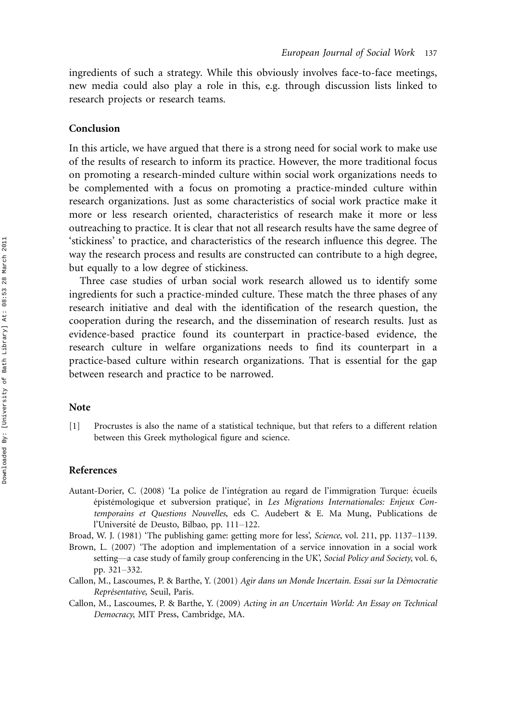ingredients of such a strategy. While this obviously involves face-to-face meetings, new media could also play a role in this, e.g. through discussion lists linked to research projects or research teams.

#### Conclusion

In this article, we have argued that there is a strong need for social work to make use of the results of research to inform its practice. However, the more traditional focus on promoting a research-minded culture within social work organizations needs to be complemented with a focus on promoting a practice-minded culture within research organizations. Just as some characteristics of social work practice make it more or less research oriented, characteristics of research make it more or less outreaching to practice. It is clear that not all research results have the same degree of 'stickiness' to practice, and characteristics of the research influence this degree. The way the research process and results are constructed can contribute to a high degree, but equally to a low degree of stickiness.

Three case studies of urban social work research allowed us to identify some ingredients for such a practice-minded culture. These match the three phases of any research initiative and deal with the identification of the research question, the cooperation during the research, and the dissemination of research results. Just as evidence-based practice found its counterpart in practice-based evidence, the research culture in welfare organizations needs to find its counterpart in a practice-based culture within research organizations. That is essential for the gap between research and practice to be narrowed.

#### Note

[1] Procrustes is also the name of a statistical technique, but that refers to a different relation between this Greek mythological figure and science.

## References

Autant-Dorier, C. (2008) 'La police de l'intégration au regard de l'immigration Turque: écueils épistémologique et subversion pratique', in Les Migrations Internationales: Enjeux Contemporains et Questions Nouvelles, eds C. Audebert & E. Ma Mung, Publications de l'Université de Deusto, Bilbao, pp. 111-122.

Broad, W. J. (1981) 'The publishing game: getting more for less', *Science*, vol. 211, pp. 1137–1139.

- Brown, L. (2007) 'The adoption and implementation of a service innovation in a social work setting—a case study of family group conferencing in the UK', Social Policy and Society, vol. 6, pp. 321-332.
- Callon, M., Lascoumes, P. & Barthe, Y. (2001) Agir dans un Monde Incertain. Essai sur la Démocratie Représentative, Seuil, Paris.
- Callon, M., Lascoumes, P. & Barthe, Y. (2009) Acting in an Uncertain World: An Essay on Technical Democracy, MIT Press, Cambridge, MA.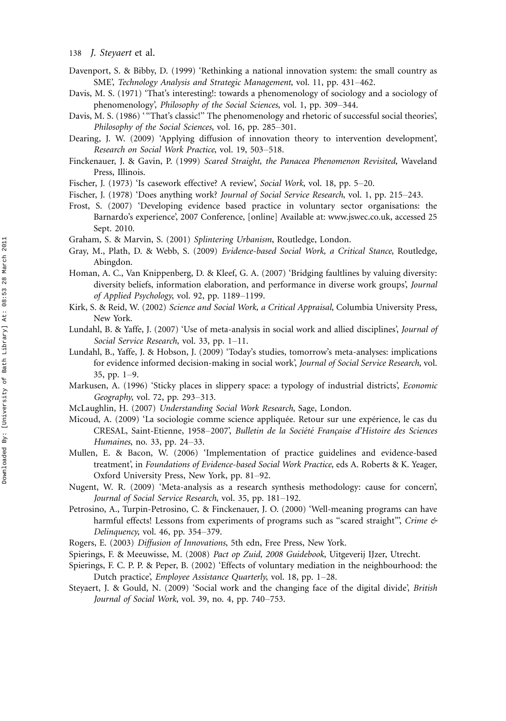- Davenport, S. & Bibby, D. (1999) 'Rethinking a national innovation system: the small country as SME', Technology Analysis and Strategic Management, vol. 11, pp. 431–462.
- Davis, M. S. (1971) 'That's interesting!: towards a phenomenology of sociology and a sociology of phenomenology', *Philosophy of the Social Sciences*, vol. 1, pp. 309–344.
- Davis, M. S. (1986) "That's classic!" The phenomenology and rhetoric of successful social theories', Philosophy of the Social Sciences, vol. 16, pp. 285-301.
- Dearing, J. W. (2009) 'Applying diffusion of innovation theory to intervention development', Research on Social Work Practice, vol. 19, 503-518.
- Finckenauer, J. & Gavin, P. (1999) Scared Straight, the Panacea Phenomenon Revisited, Waveland Press, Illinois.
- Fischer, J. (1973) 'Is casework effective? A review', Social Work, vol. 18, pp. 5–20.
- Fischer, J. (1978) 'Does anything work? Journal of Social Service Research, vol. 1, pp. 215–243.
- Frost, S. (2007) 'Developing evidence based practice in voluntary sector organisations: the Barnardo's experience', 2007 Conference, [online] Available at: [www.jswec.co.uk](http//:www.jswec.co.uk), accessed 25 Sept. 2010.
- Graham, S. & Marvin, S. (2001) Splintering Urbanism, Routledge, London.
- Gray, M., Plath, D. & Webb, S. (2009) Evidence-based Social Work, a Critical Stance, Routledge, Abingdon.
- Homan, A. C., Van Knippenberg, D. & Kleef, G. A. (2007) 'Bridging faultlines by valuing diversity: diversity beliefs, information elaboration, and performance in diverse work groups', Journal of Applied Psychology, vol. 92, pp. 1189-1199.
- Kirk, S. & Reid, W. (2002) Science and Social Work, a Critical Appraisal, Columbia University Press, New York.
- Lundahl, B. & Yaffe, J. (2007) 'Use of meta-analysis in social work and allied disciplines', Journal of Social Service Research, vol. 33, pp.  $1-11$ .
- Lundahl, B., Yaffe, J. & Hobson, J. (2009) 'Today's studies, tomorrow's meta-analyses: implications for evidence informed decision-making in social work', Journal of Social Service Research, vol.  $35$ , pp.  $1-9$ .
- Markusen, A. (1996) 'Sticky places in slippery space: a typology of industrial districts', Economic Geography, vol. 72, pp. 293-313.
- McLaughlin, H. (2007) Understanding Social Work Research, Sage, London.
- Micoud, A. (2009) 'La sociologie comme science appliquée. Retour sur une expérience, le cas du CRESAL, Saint-Etienne, 1958-2007', Bulletin de la Société Française d'Histoire des Sciences Humaines, no. 33, pp. 24-33.
- Mullen, E. & Bacon, W. (2006) 'Implementation of practice guidelines and evidence-based treatment', in Foundations of Evidence-based Social Work Practice, eds A. Roberts & K. Yeager, Oxford University Press, New York, pp. 81-92.
- Nugent, W. R. (2009) 'Meta-analysis as a research synthesis methodology: cause for concern', Journal of Social Service Research, vol. 35, pp. 181-192.
- Petrosino, A., Turpin-Petrosino, C. & Finckenauer, J. O. (2000) 'Well-meaning programs can have harmful effects! Lessons from experiments of programs such as "scared straight", Crime & Delinquency, vol. 46, pp. 354-379.
- Rogers, E. (2003) Diffusion of Innovations, 5th edn, Free Press, New York.
- Spierings, F. & Meeuwisse, M. (2008) Pact op Zuid, 2008 Guidebook, Uitgeverij IJzer, Utrecht.
- Spierings, F. C. P. P. & Peper, B. (2002) 'Effects of voluntary mediation in the neighbourhood: the Dutch practice', Employee Assistance Quarterly, vol. 18, pp. 1-28.
- Steyaert, J. & Gould, N. (2009) 'Social work and the changing face of the digital divide', British Journal of Social Work, vol. 39, no. 4, pp. 740–753.